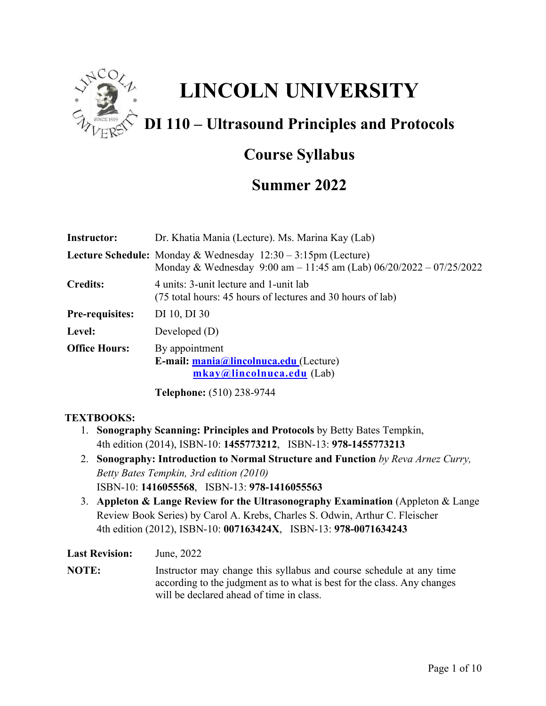

# **LINCOLN UNIVERSITY**

# **DI 110 – Ultrasound Principles and Protocols**

# **Course Syllabus**

# **Summer 2022**

| <b>Instructor:</b>     | Dr. Khatia Mania (Lecture). Ms. Marina Kay (Lab)                                                                                                                   |
|------------------------|--------------------------------------------------------------------------------------------------------------------------------------------------------------------|
|                        | <b>Lecture Schedule:</b> Monday & Wednesday $12:30 - 3:15$ pm (Lecture)<br>Monday & Wednesday $9:00 \text{ am} - 11:45 \text{ am}$ (Lab) $06/20/2022 - 07/25/2022$ |
| <b>Credits:</b>        | 4 units: 3-unit lecture and 1-unit lab<br>(75 total hours: 45 hours of lectures and 30 hours of lab)                                                               |
| <b>Pre-requisites:</b> | DI 10, DI 30                                                                                                                                                       |
| Level:                 | Developed $(D)$                                                                                                                                                    |
| <b>Office Hours:</b>   | By appointment<br>E-mail: mania@lincolnuca.edu (Lecture)<br>mkay@lincolnuca.edu (Lab)                                                                              |
|                        | <b>Telephone:</b> (510) 238-9744                                                                                                                                   |

# **TEXTBOOKS:**

- 1. **Sonography Scanning: Principles and Protocols** by Betty Bates Tempkin, 4th edition (2014), ISBN-10: **1455773212**, ISBN-13: **978-1455773213**
- 2. **Sonography: Introduction to Normal Structure and Function** *by Reva Arnez Curry, Betty Bates Tempkin, 3rd edition (2010)* ISBN-10: **1416055568**, ISBN-13: **978-1416055563**
- 3. **Appleton & Lange Review for the Ultrasonography Examination** (Appleton & Lange Review Book Series) by Carol A. Krebs, Charles S. Odwin, Arthur C. Fleischer 4th edition (2012), ISBN-10: **007163424X**, ISBN-13: **978-0071634243**

**Last Revision:** June, 2022

**NOTE:** Instructor may change this syllabus and course schedule at any time according to the judgment as to what is best for the class. Any changes will be declared ahead of time in class.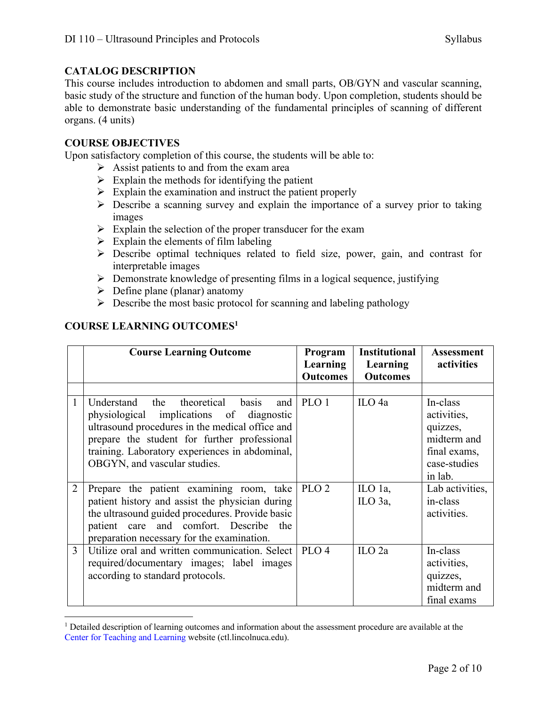# **CATALOG DESCRIPTION**

This course includes introduction to abdomen and small parts, OB/GYN and vascular scanning, basic study of the structure and function of the human body. Upon completion, students should be able to demonstrate basic understanding of the fundamental principles of scanning of different organs. (4 units)

# **COURSE OBJECTIVES**

Upon satisfactory completion of this course, the students will be able to:

- $\triangleright$  Assist patients to and from the exam area
- $\triangleright$  Explain the methods for identifying the patient
- $\triangleright$  Explain the examination and instruct the patient properly
- $\triangleright$  Describe a scanning survey and explain the importance of a survey prior to taking images
- $\triangleright$  Explain the selection of the proper transducer for the exam
- $\triangleright$  Explain the elements of film labeling
- Ø Describe optimal techniques related to field size, power, gain, and contrast for interpretable images
- $\triangleright$  Demonstrate knowledge of presenting films in a logical sequence, justifying
- $\triangleright$  Define plane (planar) anatomy
- $\triangleright$  Describe the most basic protocol for scanning and labeling pathology

# **COURSE LEARNING OUTCOMES1**

|                | <b>Course Learning Outcome</b>                                                                                                                                                                                                                                           | Program<br>Learning<br><b>Outcomes</b> | <b>Institutional</b><br>Learning<br><b>Outcomes</b> | Assessment<br>activities                                                                      |
|----------------|--------------------------------------------------------------------------------------------------------------------------------------------------------------------------------------------------------------------------------------------------------------------------|----------------------------------------|-----------------------------------------------------|-----------------------------------------------------------------------------------------------|
|                |                                                                                                                                                                                                                                                                          |                                        |                                                     |                                                                                               |
| 1              | Understand the theoretical basis<br>and<br>physiological implications of diagnostic<br>ultrasound procedures in the medical office and<br>prepare the student for further professional<br>training. Laboratory experiences in abdominal,<br>OBGYN, and vascular studies. | PLO 1                                  | ILO <sub>4a</sub>                                   | In-class<br>activities,<br>quizzes,<br>midterm and<br>final exams,<br>case-studies<br>in lab. |
| $\overline{2}$ | Prepare the patient examining room, take<br>patient history and assist the physician during<br>the ultrasound guided procedures. Provide basic<br>patient care and comfort. Describe the<br>preparation necessary for the examination.                                   | PLO <sub>2</sub>                       | ILO 1a,<br>ILO 3a,                                  | Lab activities,<br>in-class<br>activities.                                                    |
| 3              | Utilize oral and written communication. Select<br>required/documentary images; label images<br>according to standard protocols.                                                                                                                                          | PLO <sub>4</sub>                       | ILO <sub>2a</sub>                                   | In-class<br>activities,<br>quizzes,<br>midterm and<br>final exams                             |

<sup>&</sup>lt;sup>1</sup> Detailed description of learning outcomes and information about the assessment procedure are available at the Center for Teaching and Learning website (ctl.lincolnuca.edu).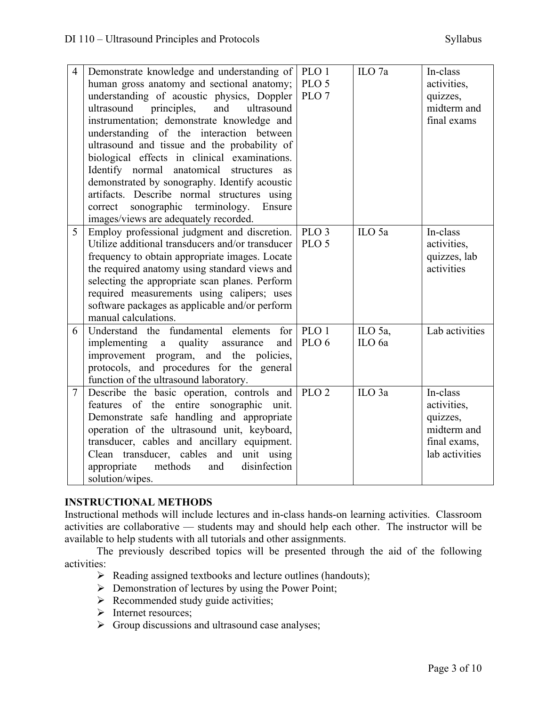| $\overline{4}$ | Demonstrate knowledge and understanding of<br>human gross anatomy and sectional anatomy;<br>understanding of acoustic physics, Doppler<br>and<br>ultrasound<br>principles,<br>ultrasound<br>instrumentation; demonstrate knowledge and<br>understanding of the interaction between<br>ultrasound and tissue and the probability of<br>biological effects in clinical examinations.<br>Identify normal anatomical structures<br>as<br>demonstrated by sonography. Identify acoustic<br>artifacts. Describe normal structures using | PLO 1<br>PLO <sub>5</sub><br>PLO <sub>7</sub> | ILO <sub>7a</sub> | In-class<br>activities,<br>quizzes,<br>midterm and<br>final exams                    |
|----------------|-----------------------------------------------------------------------------------------------------------------------------------------------------------------------------------------------------------------------------------------------------------------------------------------------------------------------------------------------------------------------------------------------------------------------------------------------------------------------------------------------------------------------------------|-----------------------------------------------|-------------------|--------------------------------------------------------------------------------------|
|                | sonographic<br>terminology.<br>Ensure<br>correct<br>images/views are adequately recorded.                                                                                                                                                                                                                                                                                                                                                                                                                                         |                                               |                   |                                                                                      |
| 5              | Employ professional judgment and discretion.<br>Utilize additional transducers and/or transducer<br>frequency to obtain appropriate images. Locate<br>the required anatomy using standard views and<br>selecting the appropriate scan planes. Perform<br>required measurements using calipers; uses<br>software packages as applicable and/or perform<br>manual calculations.                                                                                                                                                     | PLO <sub>3</sub><br>PLO <sub>5</sub>          | ILO 5a            | In-class<br>activities,<br>quizzes, lab<br>activities                                |
| 6              | Understand the fundamental elements for<br>implementing a quality assurance<br>and<br>improvement program, and the policies,<br>protocols, and procedures for the general<br>function of the ultrasound laboratory.                                                                                                                                                                                                                                                                                                               | PLO 1<br>PLO <sub>6</sub>                     | ILO 5a,<br>ILO 6a | Lab activities                                                                       |
| $\tau$         | Describe the basic operation, controls and<br>features of the entire sonographic unit.<br>Demonstrate safe handling and appropriate<br>operation of the ultrasound unit, keyboard,<br>transducer, cables and ancillary equipment.<br>Clean transducer, cables and unit using<br>methods<br>appropriate<br>and<br>disinfection<br>solution/wipes.                                                                                                                                                                                  | PLO <sub>2</sub>                              | ILO <sub>3a</sub> | In-class<br>activities,<br>quizzes,<br>midterm and<br>final exams,<br>lab activities |

# **INSTRUCTIONAL METHODS**

Instructional methods will include lectures and in-class hands-on learning activities. Classroom activities are collaborative –– students may and should help each other. The instructor will be available to help students with all tutorials and other assignments.

The previously described topics will be presented through the aid of the following activities:

- $\triangleright$  Reading assigned textbooks and lecture outlines (handouts);
- $\triangleright$  Demonstration of lectures by using the Power Point;
- $\triangleright$  Recommended study guide activities;
- Ø Internet resources;
- $\triangleright$  Group discussions and ultrasound case analyses;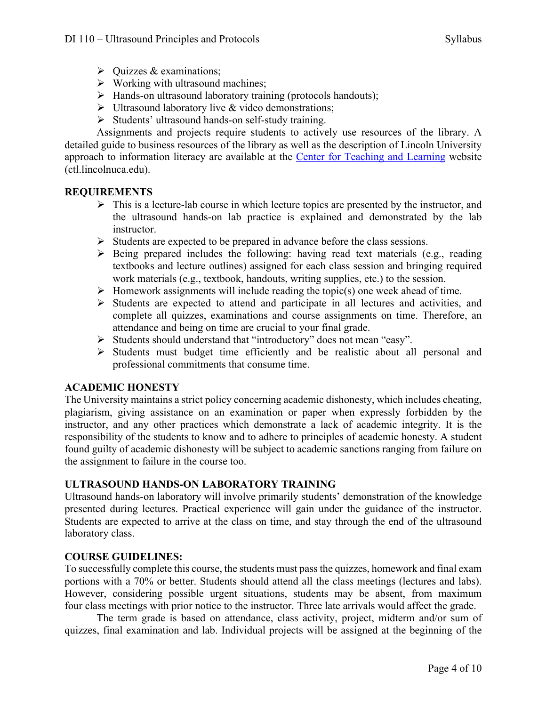- $\triangleright$  Ouizzes & examinations;
- $\triangleright$  Working with ultrasound machines;
- $\triangleright$  Hands-on ultrasound laboratory training (protocols handouts);
- $\triangleright$  Ultrasound laboratory live & video demonstrations;
- Ø Students' ultrasound hands-on self-study training.

Assignments and projects require students to actively use resources of the library. A detailed guide to business resources of the library as well as the description of Lincoln University approach to information literacy are available at the Center for Teaching and Learning website (ctl.lincolnuca.edu).

#### **REQUIREMENTS**

- $\triangleright$  This is a lecture-lab course in which lecture topics are presented by the instructor, and the ultrasound hands-on lab practice is explained and demonstrated by the lab instructor.
- $\triangleright$  Students are expected to be prepared in advance before the class sessions.
- $\triangleright$  Being prepared includes the following: having read text materials (e.g., reading textbooks and lecture outlines) assigned for each class session and bringing required work materials (e.g., textbook, handouts, writing supplies, etc.) to the session.
- $\triangleright$  Homework assignments will include reading the topic(s) one week ahead of time.
- $\triangleright$  Students are expected to attend and participate in all lectures and activities, and complete all quizzes, examinations and course assignments on time. Therefore, an attendance and being on time are crucial to your final grade.
- Ø Students should understand that "introductory" does not mean "easy".
- $\triangleright$  Students must budget time efficiently and be realistic about all personal and professional commitments that consume time.

#### **ACADEMIC HONESTY**

The University maintains a strict policy concerning academic dishonesty, which includes cheating, plagiarism, giving assistance on an examination or paper when expressly forbidden by the instructor, and any other practices which demonstrate a lack of academic integrity. It is the responsibility of the students to know and to adhere to principles of academic honesty. A student found guilty of academic dishonesty will be subject to academic sanctions ranging from failure on the assignment to failure in the course too.

# **ULTRASOUND HANDS-ON LABORATORY TRAINING**

Ultrasound hands-on laboratory will involve primarily students' demonstration of the knowledge presented during lectures. Practical experience will gain under the guidance of the instructor. Students are expected to arrive at the class on time, and stay through the end of the ultrasound laboratory class.

#### **COURSE GUIDELINES:**

To successfully complete this course, the students must pass the quizzes, homework and final exam portions with a 70% or better. Students should attend all the class meetings (lectures and labs). However, considering possible urgent situations, students may be absent, from maximum four class meetings with prior notice to the instructor. Three late arrivals would affect the grade.

The term grade is based on attendance, class activity, project, midterm and/or sum of quizzes, final examination and lab. Individual projects will be assigned at the beginning of the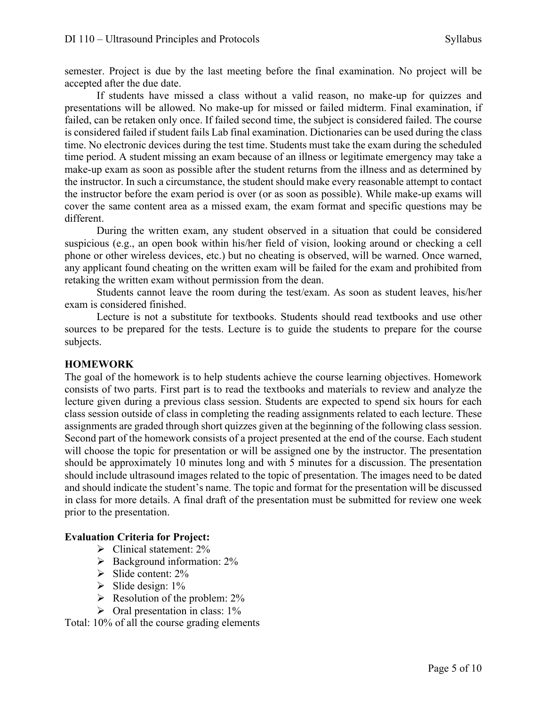semester. Project is due by the last meeting before the final examination. No project will be accepted after the due date.

If students have missed a class without a valid reason, no make-up for quizzes and presentations will be allowed. No make-up for missed or failed midterm. Final examination, if failed, can be retaken only once. If failed second time, the subject is considered failed. The course is considered failed if student fails Lab final examination. Dictionaries can be used during the class time. No electronic devices during the test time. Students must take the exam during the scheduled time period. A student missing an exam because of an illness or legitimate emergency may take a make-up exam as soon as possible after the student returns from the illness and as determined by the instructor. In such a circumstance, the student should make every reasonable attempt to contact the instructor before the exam period is over (or as soon as possible). While make-up exams will cover the same content area as a missed exam, the exam format and specific questions may be different.

During the written exam, any student observed in a situation that could be considered suspicious (e.g., an open book within his/her field of vision, looking around or checking a cell phone or other wireless devices, etc.) but no cheating is observed, will be warned. Once warned, any applicant found cheating on the written exam will be failed for the exam and prohibited from retaking the written exam without permission from the dean.

Students cannot leave the room during the test/exam. As soon as student leaves, his/her exam is considered finished.

Lecture is not a substitute for textbooks. Students should read textbooks and use other sources to be prepared for the tests. Lecture is to guide the students to prepare for the course subjects.

#### **HOMEWORK**

The goal of the homework is to help students achieve the course learning objectives. Homework consists of two parts. First part is to read the textbooks and materials to review and analyze the lecture given during a previous class session. Students are expected to spend six hours for each class session outside of class in completing the reading assignments related to each lecture. These assignments are graded through short quizzes given at the beginning of the following class session. Second part of the homework consists of a project presented at the end of the course. Each student will choose the topic for presentation or will be assigned one by the instructor. The presentation should be approximately 10 minutes long and with 5 minutes for a discussion. The presentation should include ultrasound images related to the topic of presentation. The images need to be dated and should indicate the student's name. The topic and format for the presentation will be discussed in class for more details. A final draft of the presentation must be submitted for review one week prior to the presentation.

#### **Evaluation Criteria for Project:**

- $\triangleright$  Clinical statement: 2%
- $\triangleright$  Background information: 2%
- $\triangleright$  Slide content: 2%
- $\triangleright$  Slide design: 1%
- $\triangleright$  Resolution of the problem: 2%
- $\triangleright$  Oral presentation in class: 1%

Total: 10% of all the course grading elements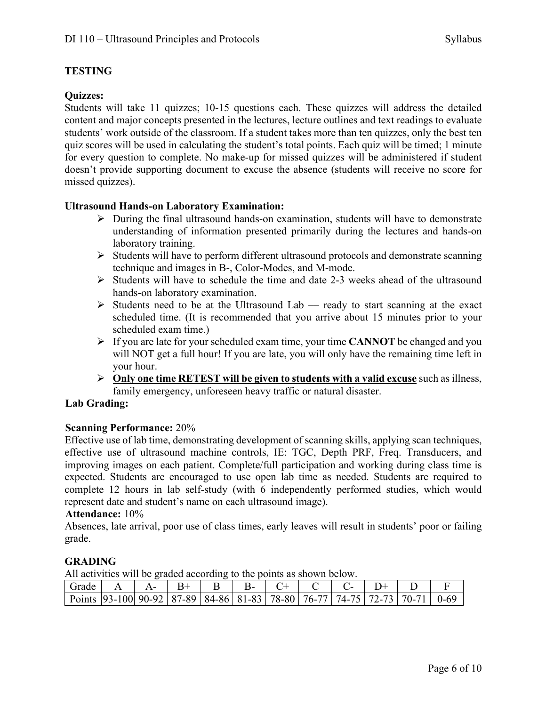# **TESTING**

# **Quizzes:**

Students will take 11 quizzes; 10-15 questions each. These quizzes will address the detailed content and major concepts presented in the lectures, lecture outlines and text readings to evaluate students' work outside of the classroom. If a student takes more than ten quizzes, only the best ten quiz scores will be used in calculating the student's total points. Each quiz will be timed; 1 minute for every question to complete. No make-up for missed quizzes will be administered if student doesn't provide supporting document to excuse the absence (students will receive no score for missed quizzes).

#### **Ultrasound Hands-on Laboratory Examination:**

- $\triangleright$  During the final ultrasound hands-on examination, students will have to demonstrate understanding of information presented primarily during the lectures and hands-on laboratory training.
- $\triangleright$  Students will have to perform different ultrasound protocols and demonstrate scanning technique and images in B-, Color-Modes, and M-mode.
- $\triangleright$  Students will have to schedule the time and date 2-3 weeks ahead of the ultrasound hands-on laboratory examination.
- $\triangleright$  Students need to be at the Ultrasound Lab ready to start scanning at the exact scheduled time. (It is recommended that you arrive about 15 minutes prior to your scheduled exam time.)
- Ø If you are late for your scheduled exam time, your time **CANNOT** be changed and you will NOT get a full hour! If you are late, you will only have the remaining time left in your hour.
- Ø **Only one time RETEST will be given to students with a valid excuse** such as illness, family emergency, unforeseen heavy traffic or natural disaster.

# **Lab Grading:**

#### **Scanning Performance:** 20%

Effective use of lab time, demonstrating development of scanning skills, applying scan techniques, effective use of ultrasound machine controls, IE: TGC, Depth PRF, Freq. Transducers, and improving images on each patient. Complete/full participation and working during class time is expected. Students are encouraged to use open lab time as needed. Students are required to complete 12 hours in lab self-study (with 6 independently performed studies, which would represent date and student's name on each ultrasound image).

#### **Attendance:** 10%

Absences, late arrival, poor use of class times, early leaves will result in students' poor or failing grade.

#### **GRADING**

All activities will be graded according to the points as shown below.

| Grade                                                                                  |  |  |  |  |  |  |
|----------------------------------------------------------------------------------------|--|--|--|--|--|--|
| Points   93-100   90-92   87-89   84-86   81-83   78-80   76-77   74-75   72-73   70-7 |  |  |  |  |  |  |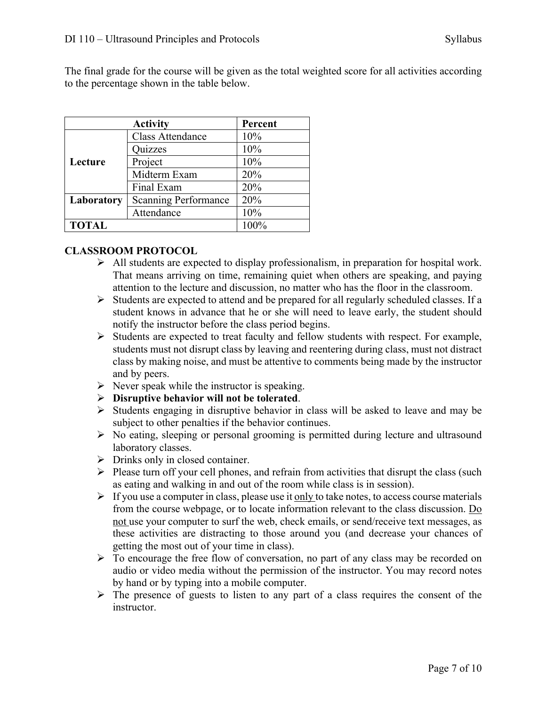The final grade for the course will be given as the total weighted score for all activities according to the percentage shown in the table below.

|              | Percent                     |      |
|--------------|-----------------------------|------|
|              | <b>Class Attendance</b>     | 10%  |
|              | Quizzes                     | 10%  |
| Lecture      | Project                     | 10%  |
|              | Midterm Exam                | 20%  |
|              | Final Exam                  | 20%  |
| Laboratory   | <b>Scanning Performance</b> | 20%  |
| Attendance   |                             | 10%  |
| <b>TOTAL</b> |                             | 100% |

#### **CLASSROOM PROTOCOL**

- $\triangleright$  All students are expected to display professionalism, in preparation for hospital work. That means arriving on time, remaining quiet when others are speaking, and paying attention to the lecture and discussion, no matter who has the floor in the classroom.
- $\triangleright$  Students are expected to attend and be prepared for all regularly scheduled classes. If a student knows in advance that he or she will need to leave early, the student should notify the instructor before the class period begins.
- $\triangleright$  Students are expected to treat faculty and fellow students with respect. For example, students must not disrupt class by leaving and reentering during class, must not distract class by making noise, and must be attentive to comments being made by the instructor and by peers.
- $\triangleright$  Never speak while the instructor is speaking.
- Ø **Disruptive behavior will not be tolerated**.
- $\triangleright$  Students engaging in disruptive behavior in class will be asked to leave and may be subject to other penalties if the behavior continues.
- $\triangleright$  No eating, sleeping or personal grooming is permitted during lecture and ultrasound laboratory classes.
- $\triangleright$  Drinks only in closed container.
- $\triangleright$  Please turn off your cell phones, and refrain from activities that disrupt the class (such as eating and walking in and out of the room while class is in session).
- $\triangleright$  If you use a computer in class, please use it only to take notes, to access course materials from the course webpage, or to locate information relevant to the class discussion. Do not use your computer to surf the web, check emails, or send/receive text messages, as these activities are distracting to those around you (and decrease your chances of getting the most out of your time in class).
- $\triangleright$  To encourage the free flow of conversation, no part of any class may be recorded on audio or video media without the permission of the instructor. You may record notes by hand or by typing into a mobile computer.
- $\triangleright$  The presence of guests to listen to any part of a class requires the consent of the instructor.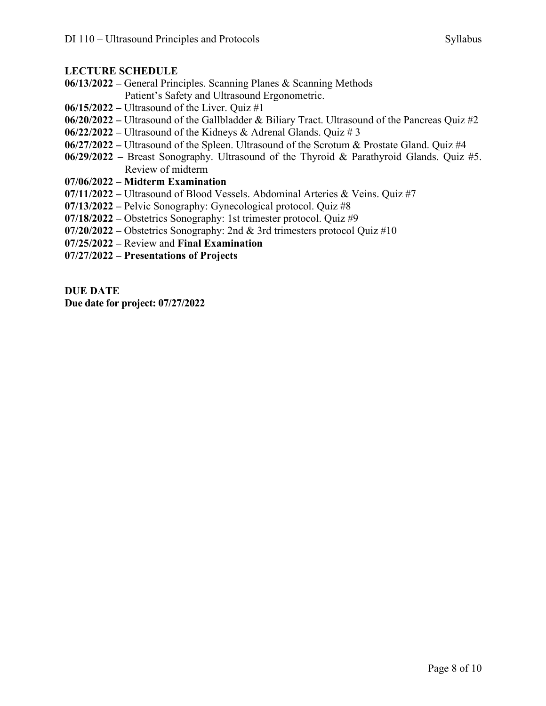#### **LECTURE SCHEDULE**

- **06/13/2022 –** General Principles. Scanning Planes & Scanning Methods Patient's Safety and Ultrasound Ergonometric.
- **06/15/2022 –** Ultrasound of the Liver. Quiz #1
- **06/20/2022 –** Ultrasound of the Gallbladder & Biliary Tract. Ultrasound of the Pancreas Quiz #2
- **06/22/2022 –** Ultrasound of the Kidneys & Adrenal Glands. Quiz # 3
- **06/27/2022 –** Ultrasound of the Spleen. Ultrasound of the Scrotum & Prostate Gland. Quiz #4
- **06/29/2022 –** Breast Sonography. Ultrasound of the Thyroid & Parathyroid Glands. Quiz #5. Review of midterm
- **07/06/2022 – Midterm Examination**
- **07/11/2022 –** Ultrasound of Blood Vessels. Abdominal Arteries & Veins. Quiz #7
- **07/13/2022 –** Pelvic Sonography: Gynecological protocol. Quiz #8
- **07/18/2022 –** Obstetrics Sonography: 1st trimester protocol. Quiz #9
- **07/20/2022 –** Obstetrics Sonography: 2nd & 3rd trimesters protocol Quiz #10
- **07/25/2022 –** Review and **Final Examination**
- **07/27/2022 – Presentations of Projects**

#### **DUE DATE**

**Due date for project: 07/27/2022**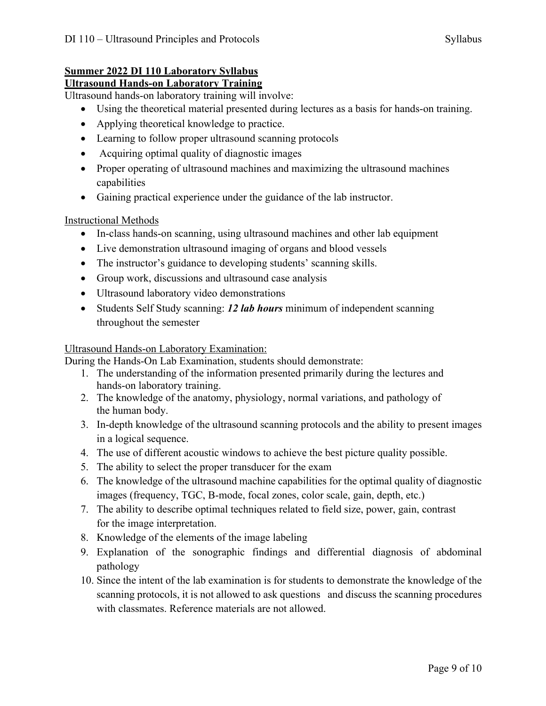# **Summer 2022 DI 110 Laboratory Syllabus**

# **Ultrasound Hands-on Laboratory Training**

Ultrasound hands-on laboratory training will involve:

- Using the theoretical material presented during lectures as a basis for hands-on training.
- Applying theoretical knowledge to practice.
- Learning to follow proper ultrasound scanning protocols
- Acquiring optimal quality of diagnostic images
- Proper operating of ultrasound machines and maximizing the ultrasound machines capabilities
- Gaining practical experience under the guidance of the lab instructor.

# Instructional Methods

- In-class hands-on scanning, using ultrasound machines and other lab equipment
- Live demonstration ultrasound imaging of organs and blood vessels
- The instructor's guidance to developing students' scanning skills.
- Group work, discussions and ultrasound case analysis
- Ultrasound laboratory video demonstrations
- Students Self Study scanning: *12 lab hours* minimum of independent scanning throughout the semester

# Ultrasound Hands-on Laboratory Examination:

During the Hands-On Lab Examination, students should demonstrate:

- 1. The understanding of the information presented primarily during the lectures and hands-on laboratory training.
- 2. The knowledge of the anatomy, physiology, normal variations, and pathology of the human body.
- 3. In-depth knowledge of the ultrasound scanning protocols and the ability to present images in a logical sequence.
- 4. The use of different acoustic windows to achieve the best picture quality possible.
- 5. The ability to select the proper transducer for the exam
- 6. The knowledge of the ultrasound machine capabilities for the optimal quality of diagnostic images (frequency, TGC, B-mode, focal zones, color scale, gain, depth, etc.)
- 7. The ability to describe optimal techniques related to field size, power, gain, contrast for the image interpretation.
- 8. Knowledge of the elements of the image labeling
- 9. Explanation of the sonographic findings and differential diagnosis of abdominal pathology
- 10. Since the intent of the lab examination is for students to demonstrate the knowledge of the scanning protocols, it is not allowed to ask questions and discuss the scanning procedures with classmates. Reference materials are not allowed.